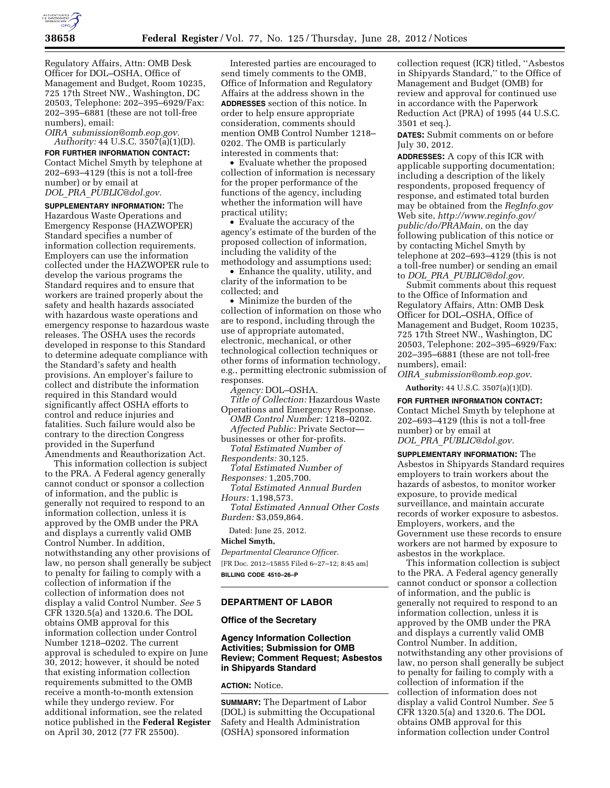

Regulatory Affairs, Attn: OMB Desk Officer for DOL–OSHA, Office of Management and Budget, Room 10235, 725 17th Street NW., Washington, DC 20503, Telephone: 202–395–6929/Fax: 202–395–6881 (these are not toll-free numbers), email:

*OIRA*\_*[submission@omb.eop.gov.](mailto:OIRA_submission@omb.eop.gov) Authority:* 44 U.S.C. 3507(a)(1)(D).

**FOR FURTHER INFORMATION CONTACT:**  Contact Michel Smyth by telephone at 202–693–4129 (this is not a toll-free number) or by email at *DOL*\_*PRA*\_*[PUBLIC@dol.gov.](mailto:DOL_PRA_PUBLIC@dol.gov)* 

**SUPPLEMENTARY INFORMATION:** The Hazardous Waste Operations and Emergency Response (HAZWOPER) Standard specifies a number of information collection requirements. Employers can use the information collected under the HAZWOPER rule to develop the various programs the Standard requires and to ensure that workers are trained properly about the safety and health hazards associated with hazardous waste operations and emergency response to hazardous waste releases. The OSHA uses the records developed in response to this Standard to determine adequate compliance with the Standard's safety and health provisions. An employer's failure to collect and distribute the information required in this Standard would significantly affect OSHA efforts to control and reduce injuries and fatalities. Such failure would also be contrary to the direction Congress provided in the Superfund Amendments and Reauthorization Act.

This information collection is subject to the PRA. A Federal agency generally cannot conduct or sponsor a collection of information, and the public is generally not required to respond to an information collection, unless it is approved by the OMB under the PRA and displays a currently valid OMB Control Number. In addition, notwithstanding any other provisions of law, no person shall generally be subject to penalty for failing to comply with a collection of information if the collection of information does not display a valid Control Number. *See* 5 CFR 1320.5(a) and 1320.6. The DOL obtains OMB approval for this information collection under Control Number 1218–0202. The current approval is scheduled to expire on June 30, 2012; however, it should be noted that existing information collection requirements submitted to the OMB receive a month-to-month extension while they undergo review. For additional information, see the related notice published in the **Federal Register**  on April 30, 2012 (77 FR 25500).

Interested parties are encouraged to send timely comments to the OMB, Office of Information and Regulatory Affairs at the address shown in the **ADDRESSES** section of this notice. In order to help ensure appropriate consideration, comments should mention OMB Control Number 1218– 0202. The OMB is particularly interested in comments that:

• Evaluate whether the proposed collection of information is necessary for the proper performance of the functions of the agency, including whether the information will have practical utility;

• Evaluate the accuracy of the agency's estimate of the burden of the proposed collection of information, including the validity of the methodology and assumptions used;

• Enhance the quality, utility, and clarity of the information to be collected; and

• Minimize the burden of the collection of information on those who are to respond, including through the use of appropriate automated, electronic, mechanical, or other technological collection techniques or other forms of information technology, e.g., permitting electronic submission of responses.

*Agency:* DOL–OSHA. *Title of Collection:* Hazardous Waste Operations and Emergency Response. *OMB Control Number:* 1218–0202. *Affected Public:* Private Sector businesses or other for-profits. *Total Estimated Number of Respondents:* 30,125.

*Total Estimated Number of* 

*Responses:* 1,205,700. *Total Estimated Annual Burden Hours:* 1,198,573.

*Total Estimated Annual Other Costs Burden:* \$3,059,864.

Dated: June 25, 2012.

**Michel Smyth,** 

*Departmental Clearance Officer.* 

[FR Doc. 2012–15855 Filed 6–27–12; 8:45 am] **BILLING CODE 4510–26–P** 

# **DEPARTMENT OF LABOR**

## **Office of the Secretary**

# **Agency Information Collection Activities; Submission for OMB Review; Comment Request; Asbestos in Shipyards Standard**

#### **ACTION:** Notice.

**SUMMARY:** The Department of Labor (DOL) is submitting the Occupational Safety and Health Administration (OSHA) sponsored information

collection request (ICR) titled, ''Asbestos in Shipyards Standard,'' to the Office of Management and Budget (OMB) for review and approval for continued use in accordance with the Paperwork Reduction Act (PRA) of 1995 (44 U.S.C. 3501 et seq.).

**DATES:** Submit comments on or before July 30, 2012.

**ADDRESSES:** A copy of this ICR with applicable supporting documentation; including a description of the likely respondents, proposed frequency of response, and estimated total burden may be obtained from the *RegInfo.gov*  Web site, *[http://www.reginfo.gov/](http://www.reginfo.gov/public/do/PRAMain)  [public/do/PRAMain,](http://www.reginfo.gov/public/do/PRAMain)* on the day following publication of this notice or by contacting Michel Smyth by telephone at 202–693–4129 (this is not a toll-free number) or sending an email to *DOL*\_*PRA*\_*[PUBLIC@dol.gov.](mailto:DOL_PRA_PUBLIC@dol.gov)* 

Submit comments about this request to the Office of Information and Regulatory Affairs, Attn: OMB Desk Officer for DOL–OSHA, Office of Management and Budget, Room 10235, 725 17th Street NW., Washington, DC 20503, Telephone: 202–395–6929/Fax: 202–395–6881 (these are not toll-free numbers), email:

*OIRA*\_*[submission@omb.eop.gov](mailto:OIRA_submission@omb.eop.gov)*.

**Authority:** 44 U.S.C. 3507(a)(1)(D).

**FOR FURTHER INFORMATION CONTACT:**  Contact Michel Smyth by telephone at 202–693–4129 (this is not a toll-free number) or by email at *DOL*\_*PRA*\_*[PUBLIC@dol.gov.](mailto:DOL_PRA_PUBLIC@dol.gov)* 

**SUPPLEMENTARY INFORMATION:** The Asbestos in Shipyards Standard requires employers to train workers about the hazards of asbestos, to monitor worker exposure, to provide medical surveillance, and maintain accurate records of worker exposure to asbestos. Employers, workers, and the Government use these records to ensure workers are not harmed by exposure to asbestos in the workplace.

This information collection is subject to the PRA. A Federal agency generally cannot conduct or sponsor a collection of information, and the public is generally not required to respond to an information collection, unless it is approved by the OMB under the PRA and displays a currently valid OMB Control Number. In addition, notwithstanding any other provisions of law, no person shall generally be subject to penalty for failing to comply with a collection of information if the collection of information does not display a valid Control Number. *See* 5 CFR 1320.5(a) and 1320.6. The DOL obtains OMB approval for this information collection under Control